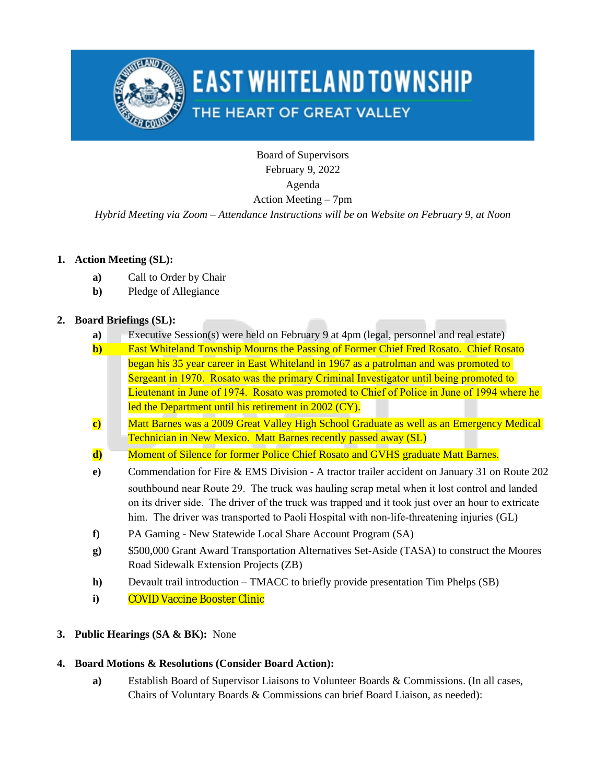

# **EAST WHITELAND TOWNSHIP**

# THE HEART OF GREAT VALLEY

Board of Supervisors February 9, 2022 Agenda Action Meeting – 7pm

*Hybrid Meeting via Zoom – Attendance Instructions will be on Website on February 9, at Noon*

### **1. Action Meeting (SL):**

- **a)** Call to Order by Chair
- **b)** Pledge of Allegiance

# **2. Board Briefings (SL):**

- **a)** Executive Session(s) were held on February 9 at 4pm (legal, personnel and real estate)
- **b)** East Whiteland Township Mourns the Passing of Former Chief Fred Rosato. Chief Rosato began his 35 year career in East Whiteland in 1967 as a patrolman and was promoted to Sergeant in 1970. Rosato was the primary Criminal Investigator until being promoted to Lieutenant in June of 1974. Rosato was promoted to Chief of Police in June of 1994 where he led the Department until his retirement in 2002 (CY).
- **c)** Matt Barnes was a 2009 Great Valley High School Graduate as well as an Emergency Medical Technician in New Mexico. Matt Barnes recently passed away (SL)
- **d)** Moment of Silence for former Police Chief Rosato and GVHS graduate Matt Barnes.
- **e)** Commendation for Fire & EMS Division A tractor trailer accident on January 31 on Route 202 southbound near Route 29. The truck was hauling scrap metal when it lost control and landed on its driver side. The driver of the truck was trapped and it took just over an hour to extricate him. The driver was transported to Paoli Hospital with non-life-threatening injuries (GL)
- **f)** PA Gaming New Statewide Local Share Account Program (SA)
- **g)** \$500,000 Grant Award Transportation Alternatives Set-Aside (TASA) to construct the Moores Road Sidewalk Extension Projects (ZB)
- **h)** Devault trail introduction TMACC to briefly provide presentation Tim Phelps (SB)
- **i)** COVID Vaccine Booster Clinic

### **3. Public Hearings (SA & BK):** None

### **4. Board Motions & Resolutions (Consider Board Action):**

**a)** Establish Board of Supervisor Liaisons to Volunteer Boards & Commissions. (In all cases, Chairs of Voluntary Boards & Commissions can brief Board Liaison, as needed):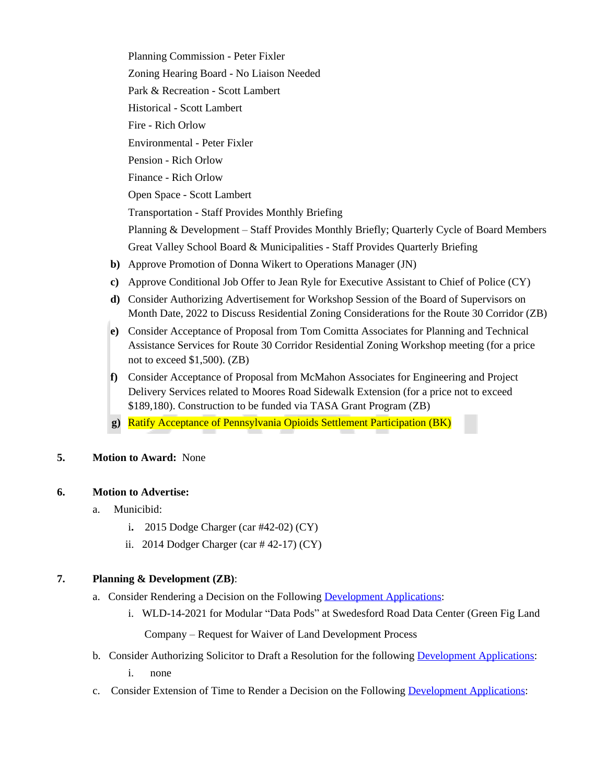Planning Commission - Peter Fixler Zoning Hearing Board - No Liaison Needed Park & Recreation - Scott Lambert Historical - Scott Lambert Fire - Rich Orlow Environmental - Peter Fixler Pension - Rich Orlow Finance - Rich Orlow Open Space - Scott Lambert Transportation - Staff Provides Monthly Briefing Planning & Development – Staff Provides Monthly Briefly; Quarterly Cycle of Board Members Great Valley School Board & Municipalities - Staff Provides Quarterly Briefing

- **b)** Approve Promotion of Donna Wikert to Operations Manager (JN)
- **c)** Approve Conditional Job Offer to Jean Ryle for Executive Assistant to Chief of Police (CY)
- **d)** Consider Authorizing Advertisement for Workshop Session of the Board of Supervisors on Month Date, 2022 to Discuss Residential Zoning Considerations for the Route 30 Corridor (ZB)
- **e)** Consider Acceptance of Proposal from Tom Comitta Associates for Planning and Technical Assistance Services for Route 30 Corridor Residential Zoning Workshop meeting (for a price not to exceed \$1,500). (ZB)
- **f)** Consider Acceptance of Proposal from McMahon Associates for Engineering and Project Delivery Services related to Moores Road Sidewalk Extension (for a price not to exceed \$189,180). Construction to be funded via TASA Grant Program (ZB)
- **g)** Ratify Acceptance of Pennsylvania Opioids Settlement Participation (BK)

### **5. Motion to Award:** None

### **6. Motion to Advertise:**

- a. Municibid:
	- i**.** 2015 Dodge Charger (car #42-02) (CY)
	- ii. 2014 Dodger Charger (car # 42-17) (CY)

### **7. Planning & Development (ZB)**:

- a. Consider Rendering a Decision on the Following [Development Applications](https://www.eastwhiteland.org/305/Land-Developments):
	- i. WLD-14-2021 for Modular "Data Pods" at Swedesford Road Data Center (Green Fig Land

Company – Request for Waiver of Land Development Process

- b. Consider Authorizing Solicitor to Draft a Resolution for the following [Development Applications:](https://www.eastwhiteland.org/305/Land-Developments)
	- i. none
- c. Consider Extension of Time to Render a Decision on the Following [Development Applications:](https://www.eastwhiteland.org/305/Land-Developments)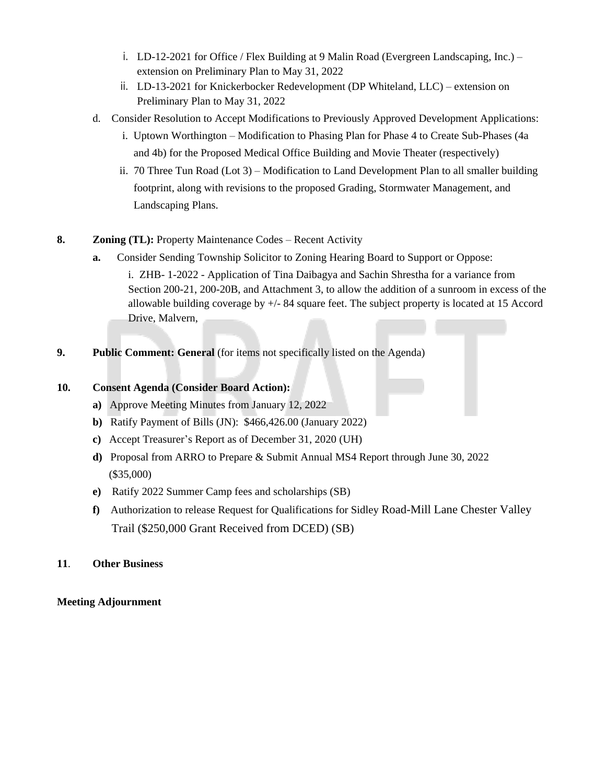- i. LD-12-2021 for Office / Flex Building at 9 Malin Road (Evergreen Landscaping, Inc.) extension on Preliminary Plan to May 31, 2022
- ii. LD-13-2021 for Knickerbocker Redevelopment (DP Whiteland, LLC) extension on Preliminary Plan to May 31, 2022
- d. Consider Resolution to Accept Modifications to Previously Approved Development Applications:
	- i. Uptown Worthington Modification to Phasing Plan for Phase 4 to Create Sub-Phases (4a and 4b) for the Proposed Medical Office Building and Movie Theater (respectively)
	- ii. 70 Three Tun Road (Lot 3) Modification to Land Development Plan to all smaller building footprint, along with revisions to the proposed Grading, Stormwater Management, and Landscaping Plans.
- **8. Zoning (TL):** Property Maintenance Codes Recent Activity
	- **a.** Consider Sending Township Solicitor to Zoning Hearing Board to Support or Oppose:

i. ZHB- 1-2022 - Application of Tina Daibagya and Sachin Shrestha for a variance from Section 200-21, 200-20B, and Attachment 3, to allow the addition of a sunroom in excess of the allowable building coverage by +/- 84 square feet. The subject property is located at 15 Accord Drive, Malvern,

**9. Public Comment: General** (for items not specifically listed on the Agenda)

### **10. Consent Agenda (Consider Board Action):**

- **a)** Approve Meeting Minutes from January 12, 2022
- **b)** Ratify Payment of Bills (JN): \$466,426.00 (January 2022)
- **c)** Accept Treasurer's Report as of December 31, 2020 (UH)
- **d)** Proposal from ARRO to Prepare & Submit Annual MS4 Report through June 30, 2022 (\$35,000)
- **e)** Ratify 2022 Summer Camp fees and scholarships (SB)
- **f)** Authorization to release Request for Qualifications for Sidley Road-Mill Lane Chester Valley Trail (\$250,000 Grant Received from DCED) (SB)

### **11**. **Other Business**

### **Meeting Adjournment**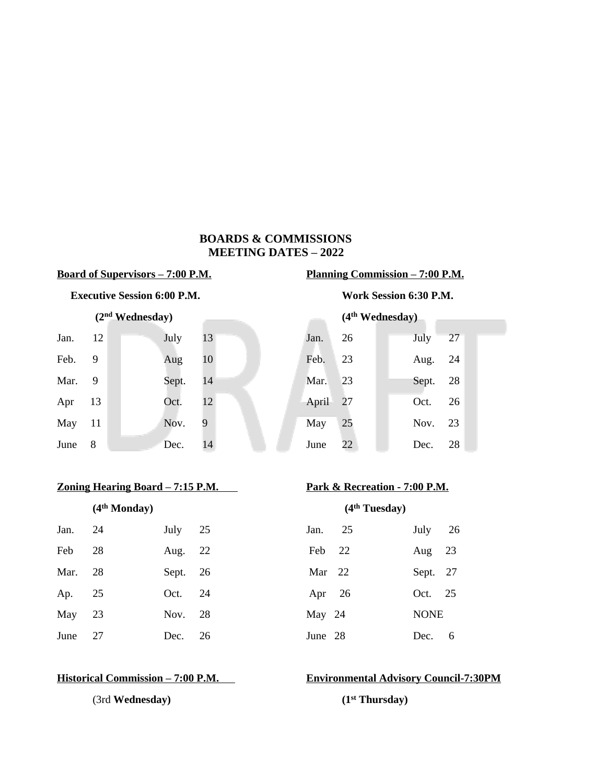# **BOARDS & COMMISSIONS MEETING DATES – 2022**

### **Executive Session 6:00 P.M. Work Session 6:30 P.M.**

| Jan. $12$ |  | July 13  |    |  | Jan. 26  |  | July 27  |  |
|-----------|--|----------|----|--|----------|--|----------|--|
| Feb. 9    |  | Aug $10$ |    |  | Feb. 23  |  | Aug. 24  |  |
| Mar. 9    |  | Sept. 14 |    |  | Mar. 23  |  | Sept. 28 |  |
| Apr $13$  |  | Oct.     | 12 |  | April 27 |  | Oct. 26  |  |
| May 11    |  | Nov. 9   |    |  | May 25   |  | Nov. 23  |  |
| June 8    |  | Dec.     | 14 |  | June 22  |  | Dec. 28  |  |

# **<u>Zoning Hearing Board – 7:15 P.M. Park & Recreation - 7:00 P.M.</u>**

|          | (4 <sup>th</sup> Monday) |           |    | (4 <sup>th</sup> Tuesday) |          |             |    |  |
|----------|--------------------------|-----------|----|---------------------------|----------|-------------|----|--|
| Jan.     | 24                       | July $25$ |    | Jan.                      | 25       | July        | 26 |  |
| Feb      | 28                       | Aug. 22   |    |                           | Feb 22   | Aug $23$    |    |  |
| Mar. 28  |                          | Sept. 26  |    | Mar $22$                  |          | Sept. 27    |    |  |
| Ap. 25   |                          | Oct. 24   |    |                           | Apr $26$ | Oct. 25     |    |  |
| May $23$ |                          | Nov. 28   |    | May 24                    |          | <b>NONE</b> |    |  |
| June 27  |                          | Dec.      | 26 | June 28                   |          | Dec.        | 6  |  |

(3rd **Wednesday) (1st Thursday)**

# **Board of Supervisors – 7:00 P.M. Planning Commission – 7:00 P.M.**

 **(2nd Wednesday) (4th Wednesday)** 

| Jan. 12  | July  | 13  | Jan. 26  |    | July 27  |  |
|----------|-------|-----|----------|----|----------|--|
| Feb. 9   | Aug   | 10  | Feb.     | 23 | Aug. 24  |  |
| Mar. 9   | Sept. | 14  | Mar. 23  |    | Sept. 28 |  |
| Apr $13$ | Oct.  | 12  | April 27 |    | Oct. 26  |  |
| May 11   | Nov.  | - 9 | May 25   |    | Nov. 23  |  |
| June 8   | Dec.  | 14  | June 22  |    | Dec. 28  |  |

|          | (4 <sup>th</sup> Tuesday) |             |     |
|----------|---------------------------|-------------|-----|
| Jan.     | 25                        | July $26$   |     |
| Feb 22   |                           | Aug $23$    |     |
| Mar $22$ |                           | Sept. 27    |     |
| Apr $26$ |                           | Oct. $25$   |     |
| May 24   |                           | <b>NONE</b> |     |
| June 28  |                           | Dec -       | - 6 |

# **Historical Commission – 7:00 P.M. Environmental Advisory Council-7:30PM**